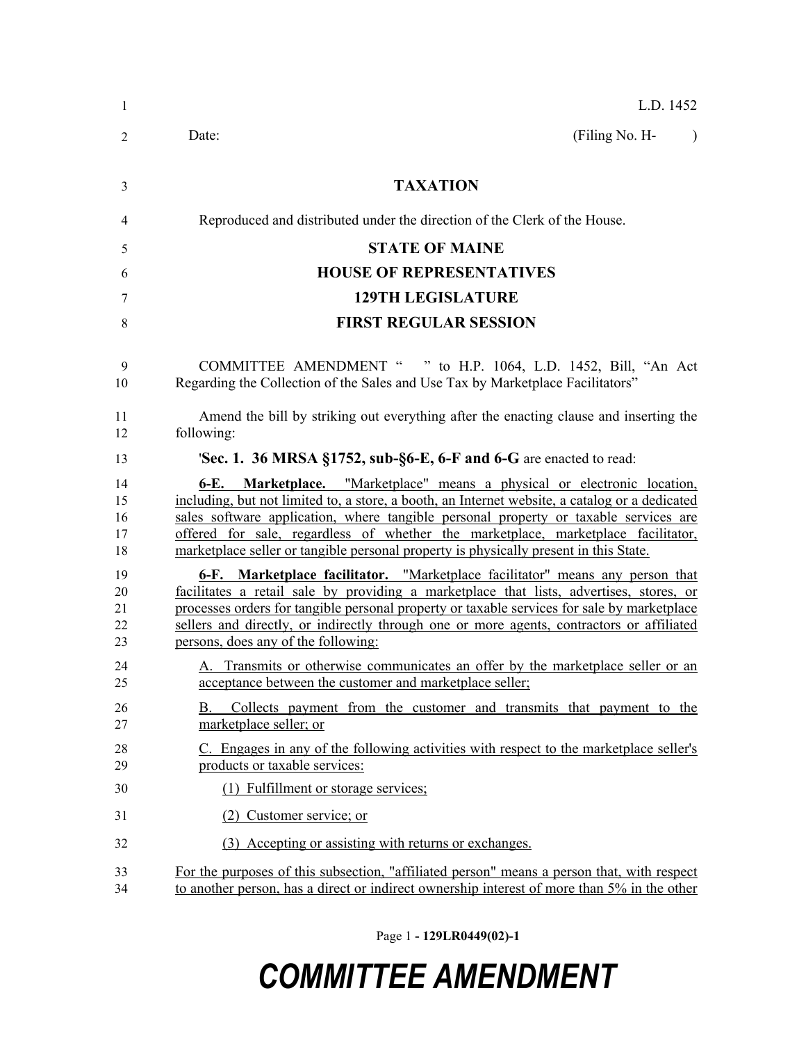| 1                          | L.D. 1452                                                                                                                                                                                                                                                                                                                                                                                                                                               |
|----------------------------|---------------------------------------------------------------------------------------------------------------------------------------------------------------------------------------------------------------------------------------------------------------------------------------------------------------------------------------------------------------------------------------------------------------------------------------------------------|
| 2                          | (Filing No. H-<br>Date:<br>$\lambda$                                                                                                                                                                                                                                                                                                                                                                                                                    |
| 3                          | <b>TAXATION</b>                                                                                                                                                                                                                                                                                                                                                                                                                                         |
| 4                          | Reproduced and distributed under the direction of the Clerk of the House.                                                                                                                                                                                                                                                                                                                                                                               |
| 5                          | <b>STATE OF MAINE</b>                                                                                                                                                                                                                                                                                                                                                                                                                                   |
| 6                          | <b>HOUSE OF REPRESENTATIVES</b>                                                                                                                                                                                                                                                                                                                                                                                                                         |
| 7                          | <b>129TH LEGISLATURE</b>                                                                                                                                                                                                                                                                                                                                                                                                                                |
| 8                          | <b>FIRST REGULAR SESSION</b>                                                                                                                                                                                                                                                                                                                                                                                                                            |
| 9<br>10                    | COMMITTEE AMENDMENT " " to H.P. 1064, L.D. 1452, Bill, "An Act<br>Regarding the Collection of the Sales and Use Tax by Marketplace Facilitators"                                                                                                                                                                                                                                                                                                        |
| 11<br>12                   | Amend the bill by striking out everything after the enacting clause and inserting the<br>following:                                                                                                                                                                                                                                                                                                                                                     |
| 13                         | Sec. 1. 36 MRSA §1752, sub- $\S6$ -E, 6-F and 6-G are enacted to read:                                                                                                                                                                                                                                                                                                                                                                                  |
| 14<br>15<br>16<br>17<br>18 | <b>6-E.</b> Marketplace. "Marketplace" means a physical or electronic location,<br>including, but not limited to, a store, a booth, an Internet website, a catalog or a dedicated<br>sales software application, where tangible personal property or taxable services are<br>offered for sale, regardless of whether the marketplace, marketplace facilitator,<br>marketplace seller or tangible personal property is physically present in this State. |
| 19<br>20<br>21<br>22<br>23 | 6-F. Marketplace facilitator. "Marketplace facilitator" means any person that<br>facilitates a retail sale by providing a marketplace that lists, advertises, stores, or<br>processes orders for tangible personal property or taxable services for sale by marketplace<br>sellers and directly, or indirectly through one or more agents, contractors or affiliated<br>persons, does any of the following:                                             |
| 24<br>25                   | A. Transmits or otherwise communicates an offer by the marketplace seller or an<br>acceptance between the customer and marketplace seller;                                                                                                                                                                                                                                                                                                              |
| 26<br>27                   | Collects payment from the customer and transmits that payment to the<br>В.<br>marketplace seller; or                                                                                                                                                                                                                                                                                                                                                    |
| 28<br>29                   | C. Engages in any of the following activities with respect to the marketplace seller's<br>products or taxable services:                                                                                                                                                                                                                                                                                                                                 |
| 30                         | (1) Fulfillment or storage services;                                                                                                                                                                                                                                                                                                                                                                                                                    |
| 31                         | (2) Customer service; or                                                                                                                                                                                                                                                                                                                                                                                                                                |
| 32                         | (3) Accepting or assisting with returns or exchanges.                                                                                                                                                                                                                                                                                                                                                                                                   |
| 33<br>34                   | For the purposes of this subsection, "affiliated person" means a person that, with respect<br>to another person, has a direct or indirect ownership interest of more than 5% in the other                                                                                                                                                                                                                                                               |

Page 1 **- 129LR0449(02)-1**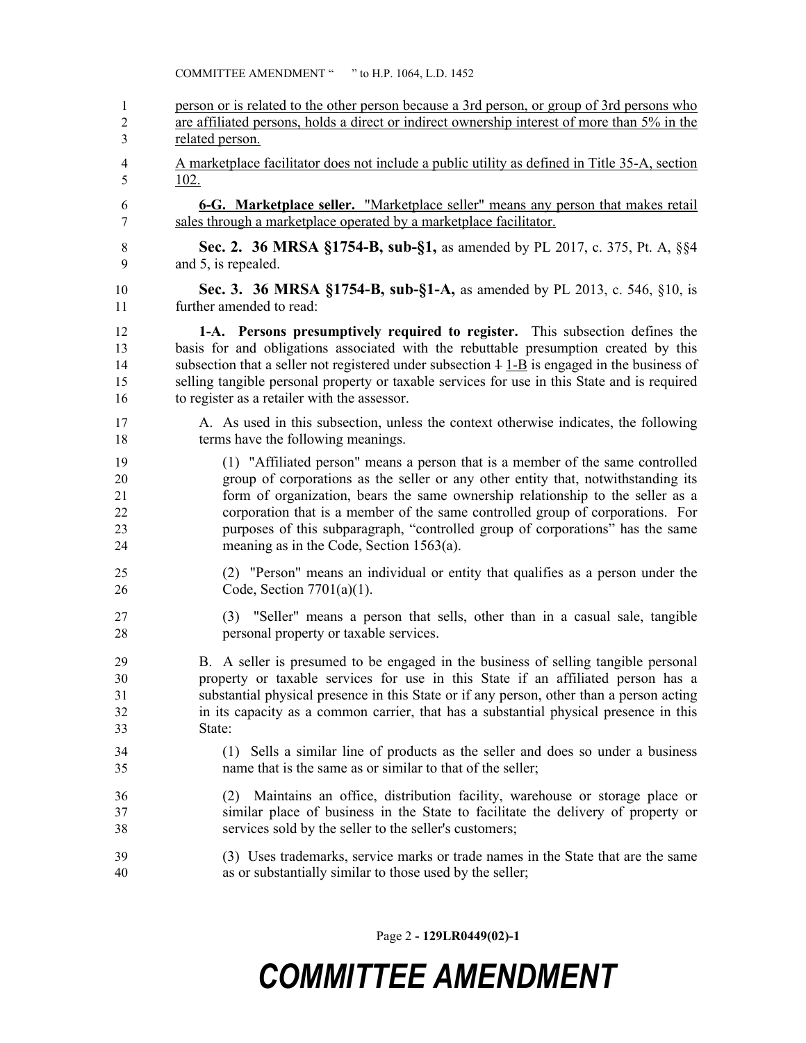| $\mathbf{1}$   | person or is related to the other person because a 3rd person, or group of 3rd persons who                                                                                                                                     |
|----------------|--------------------------------------------------------------------------------------------------------------------------------------------------------------------------------------------------------------------------------|
| $\overline{2}$ | are affiliated persons, holds a direct or indirect ownership interest of more than 5% in the                                                                                                                                   |
| 3              | related person.                                                                                                                                                                                                                |
| 4              | A marketplace facilitator does not include a public utility as defined in Title 35-A, section                                                                                                                                  |
| 5              | 102.                                                                                                                                                                                                                           |
| 6              | 6-G. Marketplace seller. "Marketplace seller" means any person that makes retail                                                                                                                                               |
| 7              | sales through a marketplace operated by a marketplace facilitator.                                                                                                                                                             |
| 8              | Sec. 2. 36 MRSA §1754-B, sub-§1, as amended by PL 2017, c. 375, Pt. A, §§4                                                                                                                                                     |
| 9              | and 5, is repealed.                                                                                                                                                                                                            |
| 10             | Sec. 3. 36 MRSA §1754-B, sub-§1-A, as amended by PL 2013, c. 546, §10, is                                                                                                                                                      |
| 11             | further amended to read:                                                                                                                                                                                                       |
| 12             | 1-A. Persons presumptively required to register. This subsection defines the                                                                                                                                                   |
| 13             | basis for and obligations associated with the rebuttable presumption created by this                                                                                                                                           |
| 14             | subsection that a seller not registered under subsection $4 \underline{1-B}$ is engaged in the business of                                                                                                                     |
| 15             | selling tangible personal property or taxable services for use in this State and is required                                                                                                                                   |
| 16             | to register as a retailer with the assessor.                                                                                                                                                                                   |
| 17             | A. As used in this subsection, unless the context otherwise indicates, the following                                                                                                                                           |
| 18             | terms have the following meanings.                                                                                                                                                                                             |
| 19             | (1) "Affiliated person" means a person that is a member of the same controlled                                                                                                                                                 |
| 20             | group of corporations as the seller or any other entity that, notwithstanding its                                                                                                                                              |
| 21             | form of organization, bears the same ownership relationship to the seller as a                                                                                                                                                 |
| 22             | corporation that is a member of the same controlled group of corporations. For                                                                                                                                                 |
| 23             | purposes of this subparagraph, "controlled group of corporations" has the same                                                                                                                                                 |
| 24             | meaning as in the Code, Section $1563(a)$ .                                                                                                                                                                                    |
| 25             | (2) "Person" means an individual or entity that qualifies as a person under the                                                                                                                                                |
| 26             | Code, Section $7701(a)(1)$ .                                                                                                                                                                                                   |
| 27             | (3) "Seller" means a person that sells, other than in a casual sale, tangible                                                                                                                                                  |
| 28             | personal property or taxable services.                                                                                                                                                                                         |
| 29             | B. A seller is presumed to be engaged in the business of selling tangible personal                                                                                                                                             |
| 30             | property or taxable services for use in this State if an affiliated person has a                                                                                                                                               |
| 31             | substantial physical presence in this State or if any person, other than a person acting                                                                                                                                       |
| 32             | in its capacity as a common carrier, that has a substantial physical presence in this                                                                                                                                          |
| 33             | State:                                                                                                                                                                                                                         |
| 34             | (1) Sells a similar line of products as the seller and does so under a business                                                                                                                                                |
| 35             | name that is the same as or similar to that of the seller;                                                                                                                                                                     |
| 36<br>37<br>38 | Maintains an office, distribution facility, warehouse or storage place or<br>(2)<br>similar place of business in the State to facilitate the delivery of property or<br>services sold by the seller to the seller's customers; |
| 39             | (3) Uses trademarks, service marks or trade names in the State that are the same                                                                                                                                               |
| 40             | as or substantially similar to those used by the seller;                                                                                                                                                                       |

Page 2 **- 129LR0449(02)-1**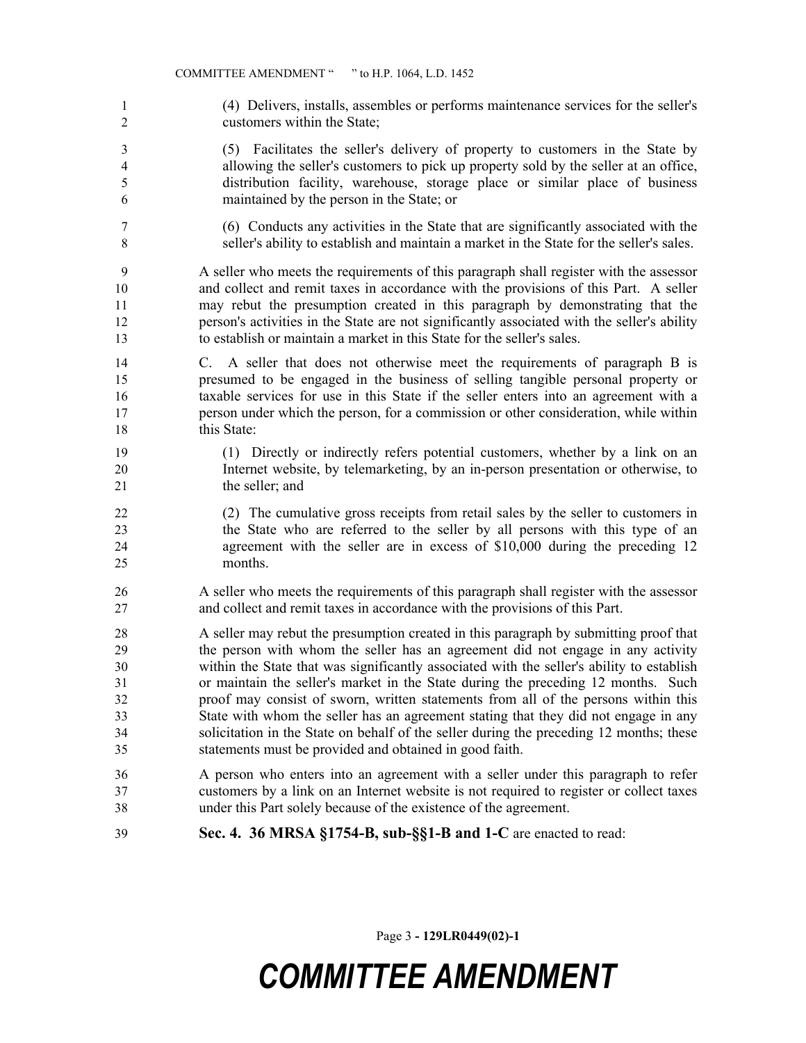(4) Delivers, installs, assembles or performs maintenance services for the seller's customers within the State;

 (5) Facilitates the seller's delivery of property to customers in the State by allowing the seller's customers to pick up property sold by the seller at an office, distribution facility, warehouse, storage place or similar place of business maintained by the person in the State; or

 (6) Conducts any activities in the State that are significantly associated with the seller's ability to establish and maintain a market in the State for the seller's sales.

 A seller who meets the requirements of this paragraph shall register with the assessor and collect and remit taxes in accordance with the provisions of this Part. A seller may rebut the presumption created in this paragraph by demonstrating that the person's activities in the State are not significantly associated with the seller's ability to establish or maintain a market in this State for the seller's sales.

- C. A seller that does not otherwise meet the requirements of paragraph B is presumed to be engaged in the business of selling tangible personal property or taxable services for use in this State if the seller enters into an agreement with a person under which the person, for a commission or other consideration, while within 18 this State:
- (1) Directly or indirectly refers potential customers, whether by a link on an Internet website, by telemarketing, by an in-person presentation or otherwise, to 21 the seller; and
- (2) The cumulative gross receipts from retail sales by the seller to customers in the State who are referred to the seller by all persons with this type of an agreement with the seller are in excess of \$10,000 during the preceding 12 months.
- A seller who meets the requirements of this paragraph shall register with the assessor and collect and remit taxes in accordance with the provisions of this Part.
- A seller may rebut the presumption created in this paragraph by submitting proof that the person with whom the seller has an agreement did not engage in any activity within the State that was significantly associated with the seller's ability to establish or maintain the seller's market in the State during the preceding 12 months. Such proof may consist of sworn, written statements from all of the persons within this State with whom the seller has an agreement stating that they did not engage in any solicitation in the State on behalf of the seller during the preceding 12 months; these statements must be provided and obtained in good faith.
- A person who enters into an agreement with a seller under this paragraph to refer customers by a link on an Internet website is not required to register or collect taxes under this Part solely because of the existence of the agreement.
- **Sec. 4. 36 MRSA §1754-B, sub-§§1-B and 1-C** are enacted to read:

Page 3 **- 129LR0449(02)-1**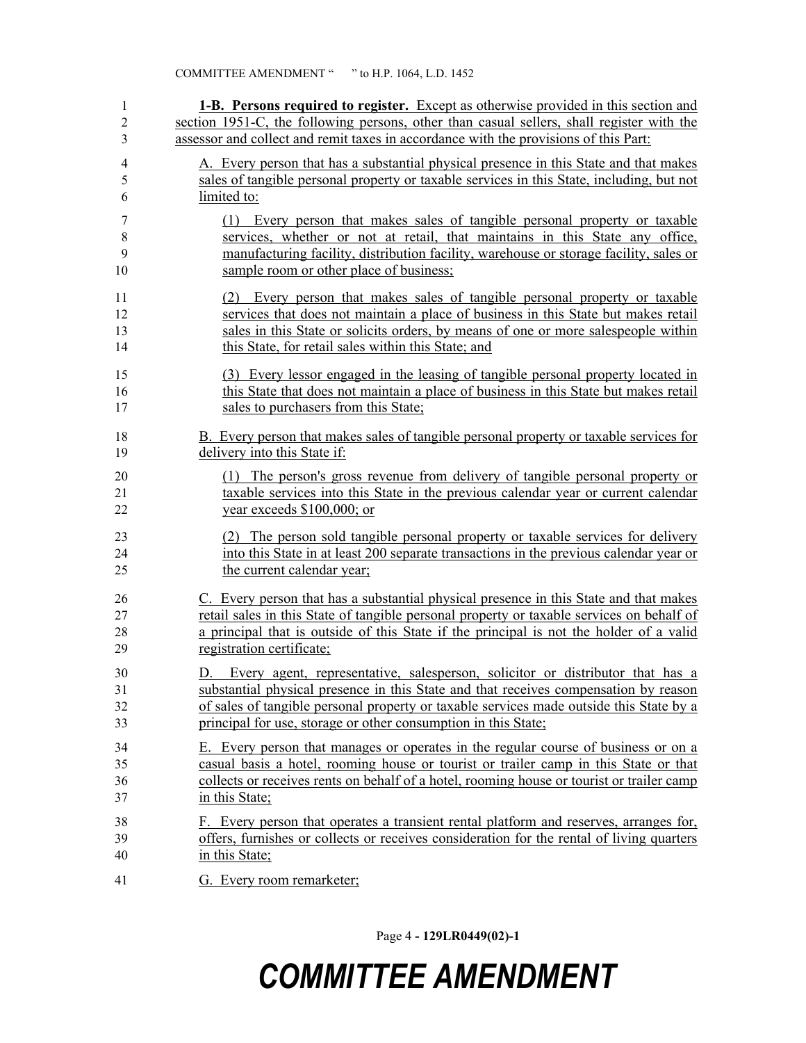| $\mathbf{1}$   | <b>1-B.</b> Persons required to register. Except as otherwise provided in this section and |
|----------------|--------------------------------------------------------------------------------------------|
| $\overline{c}$ | section 1951-C, the following persons, other than casual sellers, shall register with the  |
| 3              | assessor and collect and remit taxes in accordance with the provisions of this Part:       |
| $\overline{4}$ | A. Every person that has a substantial physical presence in this State and that makes      |
| 5              | sales of tangible personal property or taxable services in this State, including, but not  |
| 6              | limited to:                                                                                |
| 7              | (1) Every person that makes sales of tangible personal property or taxable                 |
| $\,$ 8 $\,$    | services, whether or not at retail, that maintains in this State any office,               |
| 9              | manufacturing facility, distribution facility, warehouse or storage facility, sales or     |
| 10             | sample room or other place of business;                                                    |
| 11             | (2) Every person that makes sales of tangible personal property or taxable                 |
| 12             | services that does not maintain a place of business in this State but makes retail         |
| 13             | sales in this State or solicits orders, by means of one or more salespeople within         |
| 14             | this State, for retail sales within this State; and                                        |
| 15             | (3) Every lessor engaged in the leasing of tangible personal property located in           |
| 16             | this State that does not maintain a place of business in this State but makes retail       |
| 17             | sales to purchasers from this State;                                                       |
| 18             | B. Every person that makes sales of tangible personal property or taxable services for     |
| 19             | delivery into this State if:                                                               |
| 20             | (1) The person's gross revenue from delivery of tangible personal property or              |
| 21             | taxable services into this State in the previous calendar year or current calendar         |
| 22             | year exceeds \$100,000; or                                                                 |
| 23             | (2) The person sold tangible personal property or taxable services for delivery            |
| 24             | into this State in at least 200 separate transactions in the previous calendar year or     |
| 25             | the current calendar year;                                                                 |
| 26             | C. Every person that has a substantial physical presence in this State and that makes      |
| 27             | retail sales in this State of tangible personal property or taxable services on behalf of  |
| 28             | a principal that is outside of this State if the principal is not the holder of a valid    |
| 29             | registration certificate;                                                                  |
| 30             | Every agent, representative, salesperson, solicitor or distributor that has a<br>D.        |
| 31             | substantial physical presence in this State and that receives compensation by reason       |
| 32             | of sales of tangible personal property or taxable services made outside this State by a    |
| 33             | principal for use, storage or other consumption in this State;                             |
| 34             | E. Every person that manages or operates in the regular course of business or on a         |
| 35             | casual basis a hotel, rooming house or tourist or trailer camp in this State or that       |
| 36             | collects or receives rents on behalf of a hotel, rooming house or tourist or trailer camp  |
| 37             | in this State;                                                                             |
| 38             | F. Every person that operates a transient rental platform and reserves, arranges for,      |
| 39             | offers, furnishes or collects or receives consideration for the rental of living quarters  |
| 40             | in this State;                                                                             |
| 41             | G. Every room remarketer;                                                                  |

Page 4 **- 129LR0449(02)-1**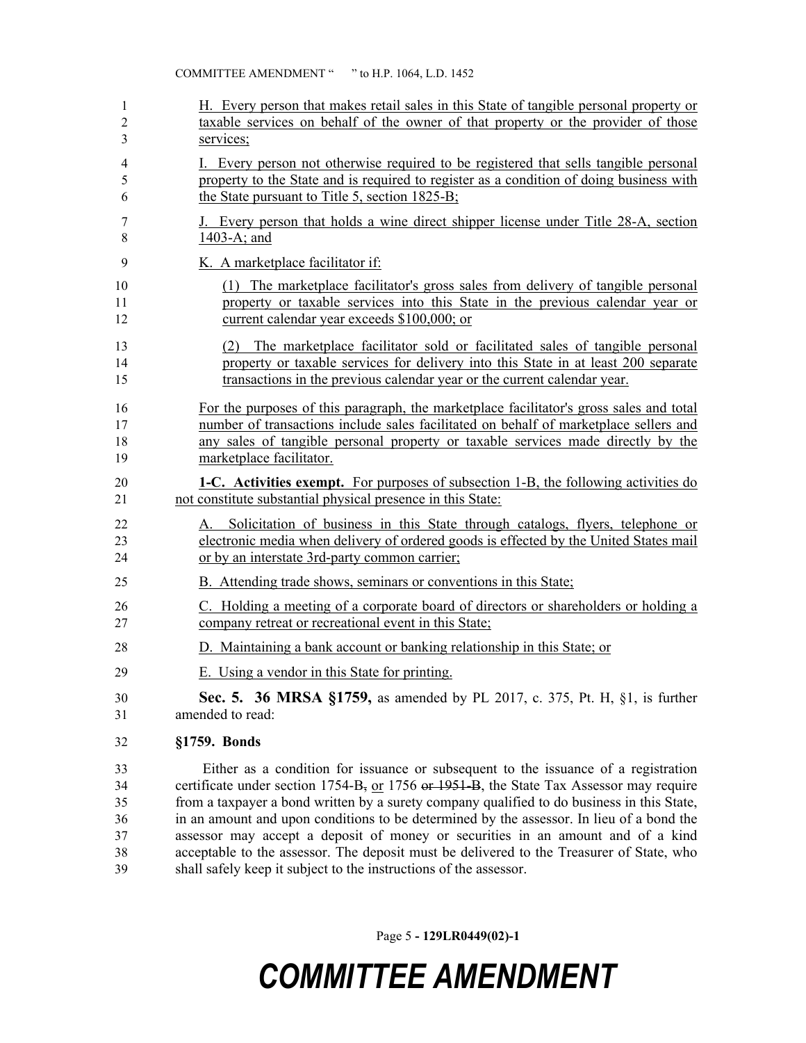| 1              | H. Every person that makes retail sales in this State of tangible personal property or                                                                                                                                        |
|----------------|-------------------------------------------------------------------------------------------------------------------------------------------------------------------------------------------------------------------------------|
| 2              | taxable services on behalf of the owner of that property or the provider of those                                                                                                                                             |
| 3              | services;                                                                                                                                                                                                                     |
| 4              | I. Every person not otherwise required to be registered that sells tangible personal                                                                                                                                          |
| 5              | property to the State and is required to register as a condition of doing business with                                                                                                                                       |
| 6              | the State pursuant to Title 5, section 1825-B;                                                                                                                                                                                |
| 7              | J. Every person that holds a wine direct shipper license under Title 28-A, section                                                                                                                                            |
| 8              | 1403-A; and                                                                                                                                                                                                                   |
| 9              | K. A marketplace facilitator if:                                                                                                                                                                                              |
| 10             | (1) The marketplace facilitator's gross sales from delivery of tangible personal                                                                                                                                              |
| 11             | property or taxable services into this State in the previous calendar year or                                                                                                                                                 |
| 12             | current calendar year exceeds \$100,000; or                                                                                                                                                                                   |
| 13             | (2) The marketplace facilitator sold or facilitated sales of tangible personal                                                                                                                                                |
| 14             | property or taxable services for delivery into this State in at least 200 separate                                                                                                                                            |
| 15             | transactions in the previous calendar year or the current calendar year.                                                                                                                                                      |
| 16             | For the purposes of this paragraph, the marketplace facilitator's gross sales and total                                                                                                                                       |
| 17             | number of transactions include sales facilitated on behalf of marketplace sellers and                                                                                                                                         |
| 18             | any sales of tangible personal property or taxable services made directly by the                                                                                                                                              |
| 19             | marketplace facilitator.                                                                                                                                                                                                      |
| 20             | <b>1-C.</b> Activities exempt. For purposes of subsection 1-B, the following activities do                                                                                                                                    |
| 21             | not constitute substantial physical presence in this State:                                                                                                                                                                   |
| 22<br>23<br>24 | Solicitation of business in this State through catalogs, flyers, telephone or<br>А.<br>electronic media when delivery of ordered goods is effected by the United States mail<br>or by an interstate 3rd-party common carrier; |
| 25             | B. Attending trade shows, seminars or conventions in this State;                                                                                                                                                              |
| 26             | C. Holding a meeting of a corporate board of directors or shareholders or holding a                                                                                                                                           |
| 27             | company retreat or recreational event in this State;                                                                                                                                                                          |
| 28             | D. Maintaining a bank account or banking relationship in this State; or                                                                                                                                                       |
| 29             | E. Using a vendor in this State for printing.                                                                                                                                                                                 |
| 30             | <b>Sec. 5. 36 MRSA §1759, as amended by PL 2017, c. 375, Pt. H, §1, is further</b>                                                                                                                                            |
| 31             | amended to read:                                                                                                                                                                                                              |
| 32             | §1759. Bonds                                                                                                                                                                                                                  |
| 33             | Either as a condition for issuance or subsequent to the issuance of a registration                                                                                                                                            |
| 34             | certificate under section $1754-B$ , or $1756$ or $1951-B$ , the State Tax Assessor may require                                                                                                                               |
| 35             | from a taxpayer a bond written by a surety company qualified to do business in this State,                                                                                                                                    |
| 36             | in an amount and upon conditions to be determined by the assessor. In lieu of a bond the                                                                                                                                      |

38 acceptable to the assessor. The deposit must be delivered to the Treasurer of State, who shall safely keep it subject to the instructions of the assessor.

Page 5 **- 129LR0449(02)-1**

assessor may accept a deposit of money or securities in an amount and of a kind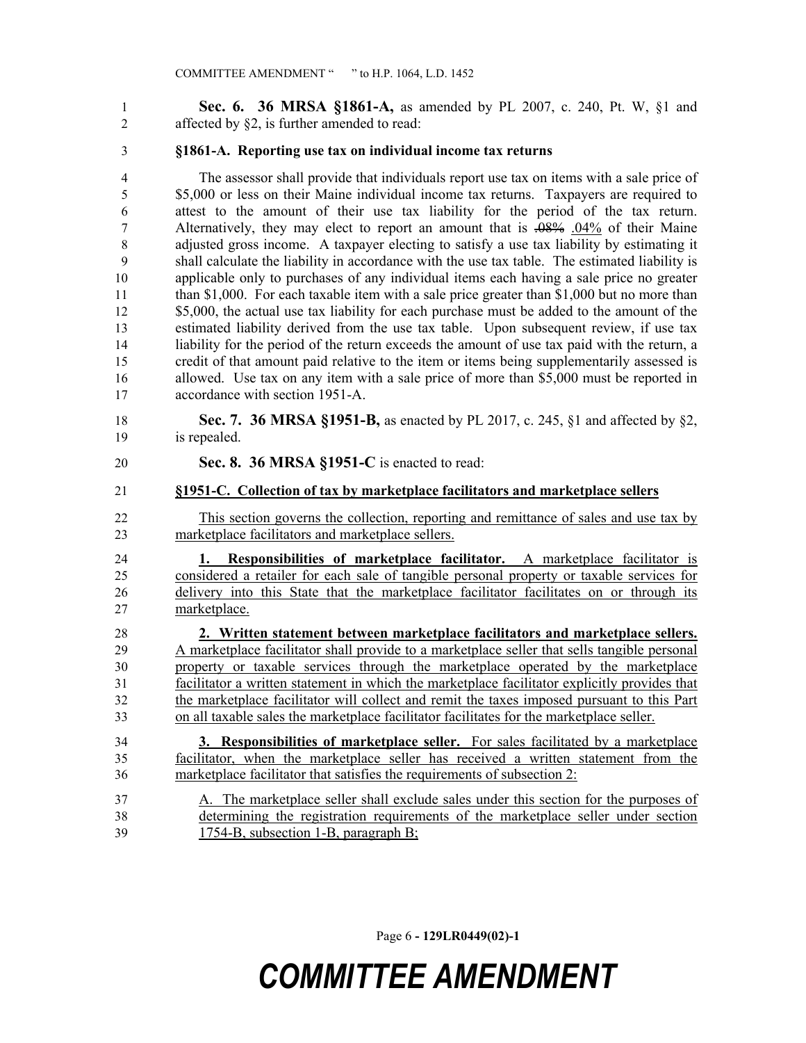**Sec. 6. 36 MRSA §1861-A,** as amended by PL 2007, c. 240, Pt. W, §1 and affected by §2, is further amended to read:

### **§1861-A. Reporting use tax on individual income tax returns**

- The assessor shall provide that individuals report use tax on items with a sale price of 5 \$5,000 or less on their Maine individual income tax returns. Taxpayers are required to attest to the amount of their use tax liability for the period of the tax return. Alternatively, they may elect to report an amount that is .08% .04% of their Maine adjusted gross income. A taxpayer electing to satisfy a use tax liability by estimating it shall calculate the liability in accordance with the use tax table. The estimated liability is applicable only to purchases of any individual items each having a sale price no greater 11 than \$1,000. For each taxable item with a sale price greater than \$1,000 but no more than 12 \$5,000, the actual use tax liability for each purchase must be added to the amount of the estimated liability derived from the use tax table. Upon subsequent review, if use tax liability for the period of the return exceeds the amount of use tax paid with the return, a credit of that amount paid relative to the item or items being supplementarily assessed is 16 allowed. Use tax on any item with a sale price of more than \$5,000 must be reported in accordance with section 1951-A.
- **Sec. 7. 36 MRSA §1951-B,** as enacted by PL 2017, c. 245, §1 and affected by §2, is repealed.
- **Sec. 8. 36 MRSA §1951-C** is enacted to read:

#### **§1951-C. Collection of tax by marketplace facilitators and marketplace sellers**

 This section governs the collection, reporting and remittance of sales and use tax by marketplace facilitators and marketplace sellers.

 **1. Responsibilities of marketplace facilitator.** A marketplace facilitator is considered a retailer for each sale of tangible personal property or taxable services for 26 delivery into this State that the marketplace facilitator facilitates on or through its marketplace.

 **2. Written statement between marketplace facilitators and marketplace sellers.**  A marketplace facilitator shall provide to a marketplace seller that sells tangible personal property or taxable services through the marketplace operated by the marketplace facilitator a written statement in which the marketplace facilitator explicitly provides that the marketplace facilitator will collect and remit the taxes imposed pursuant to this Part on all taxable sales the marketplace facilitator facilitates for the marketplace seller.

 **3. Responsibilities of marketplace seller.** For sales facilitated by a marketplace facilitator, when the marketplace seller has received a written statement from the marketplace facilitator that satisfies the requirements of subsection 2:

 A. The marketplace seller shall exclude sales under this section for the purposes of determining the registration requirements of the marketplace seller under section 1754-B, subsection 1-B, paragraph B;

Page 6 **- 129LR0449(02)-1**